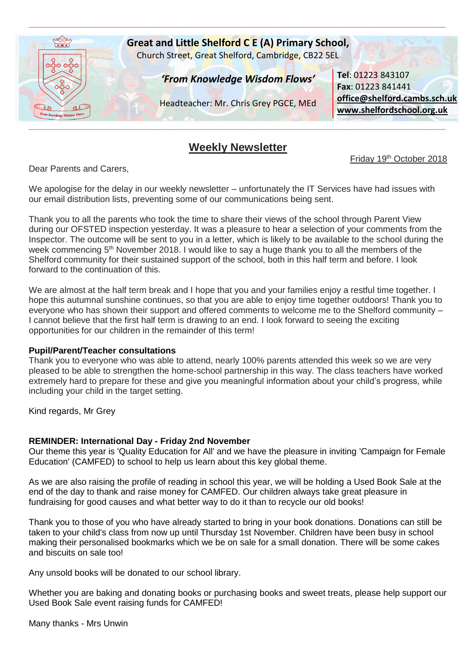

## **Weekly Newsletter**

Friday 19<sup>th</sup> October 2018

Dear Parents and Carers,

We apologise for the delay in our weekly newsletter – unfortunately the IT Services have had issues with our email distribution lists, preventing some of our communications being sent.

Thank you to all the parents who took the time to share their views of the school through Parent View during our OFSTED inspection yesterday. It was a pleasure to hear a selection of your comments from the Inspector. The outcome will be sent to you in a letter, which is likely to be available to the school during the week commencing 5<sup>th</sup> November 2018. I would like to say a huge thank you to all the members of the Shelford community for their sustained support of the school, both in this half term and before. I look forward to the continuation of this.

We are almost at the half term break and I hope that you and your families enjoy a restful time together. I hope this autumnal sunshine continues, so that you are able to enjoy time together outdoors! Thank you to everyone who has shown their support and offered comments to welcome me to the Shelford community – I cannot believe that the first half term is drawing to an end. I look forward to seeing the exciting opportunities for our children in the remainder of this term!

#### **Pupil/Parent/Teacher consultations**

Thank you to everyone who was able to attend, nearly 100% parents attended this week so we are very pleased to be able to strengthen the home-school partnership in this way. The class teachers have worked extremely hard to prepare for these and give you meaningful information about your child's progress, while including your child in the target setting.

Kind regards, Mr Grey

#### **REMINDER: International Day - Friday 2nd November**

Our theme this year is 'Quality Education for All' and we have the pleasure in inviting 'Campaign for Female Education' (CAMFED) to school to help us learn about this key global theme.

As we are also raising the profile of reading in school this year, we will be holding a Used Book Sale at the end of the day to thank and raise money for CAMFED. Our children always take great pleasure in fundraising for good causes and what better way to do it than to recycle our old books!

Thank you to those of you who have already started to bring in your book donations. Donations can still be taken to your child's class from now up until Thursday 1st November. Children have been busy in school making their personalised bookmarks which we be on sale for a small donation. There will be some cakes and biscuits on sale too!

Any unsold books will be donated to our school library.

Whether you are baking and donating books or purchasing books and sweet treats, please help support our Used Book Sale event raising funds for CAMFED!

Many thanks - Mrs Unwin